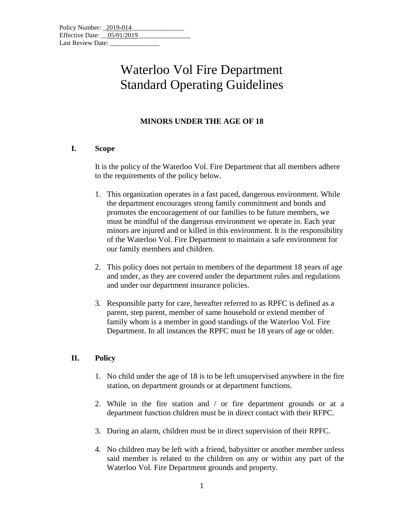# Waterloo Vol Fire Department Standard Operating Guidelines

### **MINORS UNDER THE AGE OF 18**

#### **I. Scope**

It is the policy of the Waterloo Vol. Fire Department that all members adhere to the requirements of the policy below.

- 1. This organization operates in a fast paced, dangerous environment. While the department encourages strong family commitment and bonds and promotes the encouragement of our families to be future members, we must be mindful of the dangerous environment we operate in. Each year minors are injured and or killed in this environment. It is the responsibility of the Waterloo Vol. Fire Department to maintain a safe environment for our family members and children.
- 2. This policy does not pertain to members of the department 18 years of age and under, as they are covered under the department rules and regulations and under our department insurance policies.
- 3. Responsible party for care, hereafter referred to as RPFC is defined as a parent, step parent, member of same household or extend member of family whom is a member in good standings of the Waterloo Vol. Fire Department. In all instances the RPFC must be 18 years of age or older.

#### **II. Policy**

- 1. No child under the age of 18 is to be left unsupervised anywhere in the fire station, on department grounds or at department functions.
- 2. While in the fire station and / or fire department grounds or at a department function children must be in direct contact with their RFPC.
- 3. During an alarm, children must be in direct supervision of their RPFC.
- 4. No children may be left with a friend, babysitter or another member unless said member is related to the children on any or within any part of the Waterloo Vol. Fire Department grounds and property.